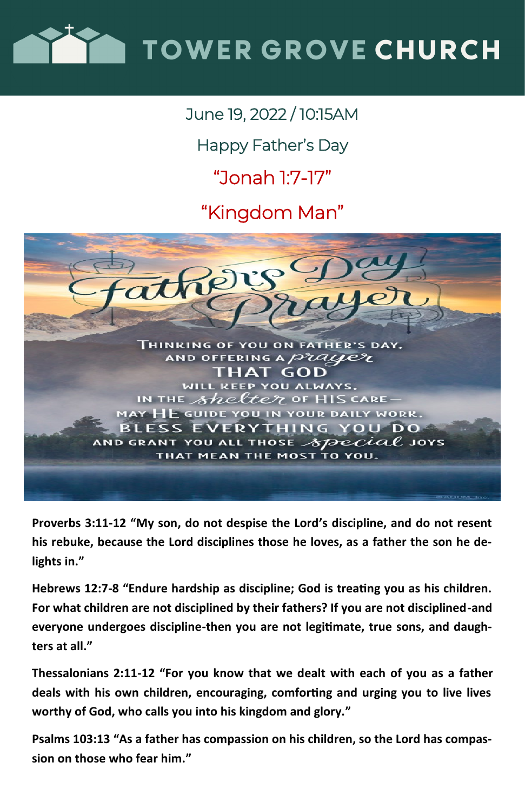

### June 19, 2022 / 10:15AM

Happy Father's Day

## "Jonah 1:7-17"

"Kingdom Man"



**Proverbs 3:11-12 "My son, do not despise the Lord's discipline, and do not resent his rebuke, because the Lord disciplines those he loves, as a father the son he delights in."**

**Hebrews 12:7-8 "Endure hardship as discipline; God is treating you as his children. For what children are not disciplined by their fathers? If you are not disciplined-and everyone undergoes discipline-then you are not legitimate, true sons, and daughters at all."**

**Thessalonians 2:11-12 "For you know that we dealt with each of you as a father deals with his own children, encouraging, comforting and urging you to live lives worthy of God, who calls you into his kingdom and glory."**

**Psalms 103:13 "As a father has compassion on his children, so the Lord has compassion on those who fear him."**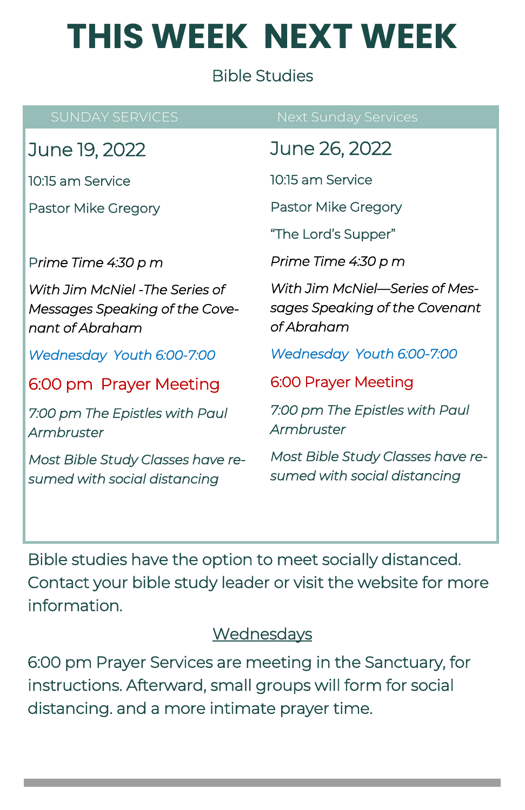# **THIS WEEK NEXT WEEK**

#### Bible Studies

June 19, 2022

10:15 am Service

Pastor Mike Gregory

P*rime Time 4:30 p m* 

*With Jim McNiel -The Series of Messages Speaking of the Covenant of Abraham* 

*Wednesday Youth 6:00-7:00* 

6:00 pm Prayer Meeting

*7:00 pm The Epistles with Paul Armbruster* 

*Most Bible Study Classes have resumed with social distancing* 

June 26, 2022

10:15 am Service

Pastor Mike Gregory

"The Lord's Supper"

*Prime Time 4:30 p m* 

*With Jim McNiel—Series of Messages Speaking of the Covenant of Abraham* 

*Wednesday Youth 6:00-7:00* 

6:00 Prayer Meeting

*7:00 pm The Epistles with Paul Armbruster* 

*Most Bible Study Classes have resumed with social distancing* 

Bible studies have the option to meet socially distanced. Contact your bible study leader or visit the website for more information.

#### **Wednesdays**

6:00 pm Prayer Services are meeting in the Sanctuary, for instructions. Afterward, small groups will form for social distancing. and a more intimate prayer time.